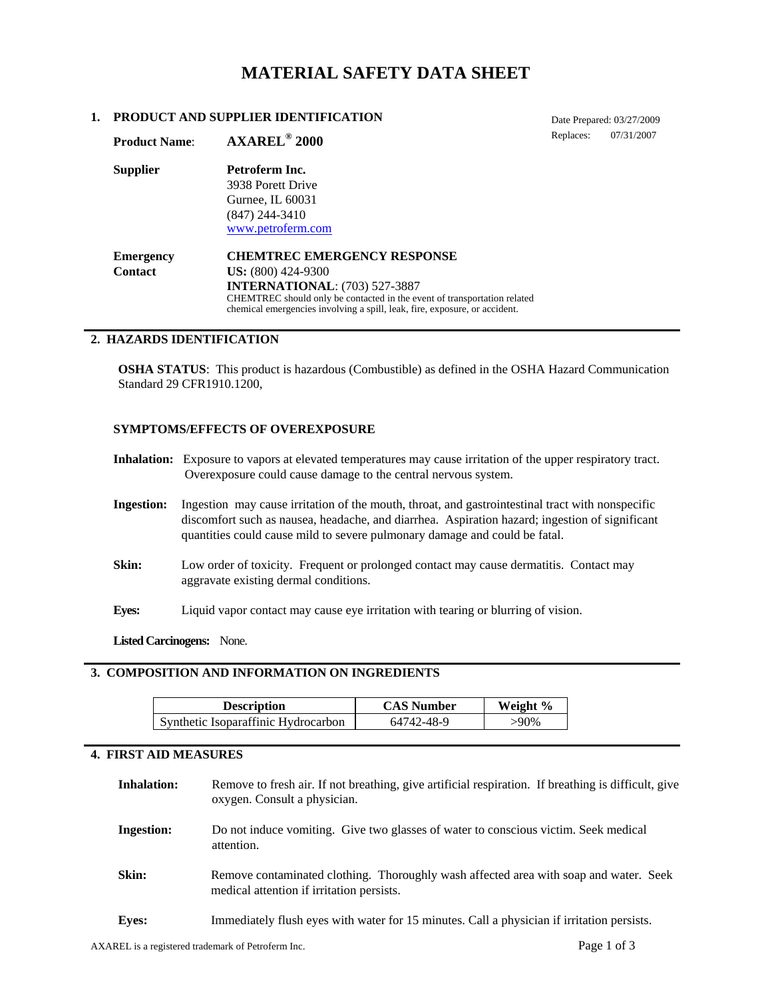# **MATERIAL SAFETY DATA SHEET**

### **1. PRODUCT AND SUPPLIER IDENTIFICATION**

**Product Name**: **AXAREL® 2000** 

Date Prepared: 03/27/2009 Replaces: 07/31/2007

| <b>Product Name:</b> | AXAREL <sup>®</sup> 2000                                                                                                                               |
|----------------------|--------------------------------------------------------------------------------------------------------------------------------------------------------|
| <b>Supplier</b>      | Petroferm Inc.                                                                                                                                         |
|                      | 3938 Porett Drive                                                                                                                                      |
|                      | Gurnee, IL 60031                                                                                                                                       |
|                      | $(847)$ 244-3410                                                                                                                                       |
|                      | www.petroferm.com                                                                                                                                      |
| <b>Emergency</b>     | <b>CHEMTREC EMERGENCY RESPONSE</b>                                                                                                                     |
| <b>Contact</b>       | $US: (800) 424-9300$                                                                                                                                   |
|                      | <b>INTERNATIONAL: (703) 527-3887</b>                                                                                                                   |
|                      | CHEMTREC should only be contacted in the event of transportation related<br>chemical emergencies involving a spill, leak, fire, exposure, or accident. |

## **2. HAZARDS IDENTIFICATION**

**OSHA STATUS**: This product is hazardous (Combustible) as defined in the OSHA Hazard Communication Standard 29 CFR1910.1200,

### **SYMPTOMS/EFFECTS OF OVEREXPOSURE**

- **Inhalation:** Exposure to vapors at elevated temperatures may cause irritation of the upper respiratory tract. Overexposure could cause damage to the central nervous system.
- **Ingestion:** Ingestion may cause irritation of the mouth, throat, and gastrointestinal tract with nonspecific discomfort such as nausea, headache, and diarrhea. Aspiration hazard; ingestion of significant quantities could cause mild to severe pulmonary damage and could be fatal.
- **Skin:** Low order of toxicity. Frequent or prolonged contact may cause dermatitis. Contact may aggravate existing dermal conditions.
- **Eyes:** Liquid vapor contact may cause eye irritation with tearing or blurring of vision.

**Listed Carcinogens:** None.

## **3. COMPOSITION AND INFORMATION ON INGREDIENTS**

| <b>Description</b>                  | <b>CAS Number</b> | Weight % |
|-------------------------------------|-------------------|----------|
| Synthetic Isoparaffinic Hydrocarbon | 64742-48-9        | $>90\%$  |

#### **4. FIRST AID MEASURES**

| <b>Inhalation:</b> | Remove to fresh air. If not breathing, give artificial respiration. If breathing is difficult, give<br>oxygen. Consult a physician. |
|--------------------|-------------------------------------------------------------------------------------------------------------------------------------|
| <b>Ingestion:</b>  | Do not induce vomiting. Give two glasses of water to conscious victim. Seek medical<br>attention.                                   |
| Skin:              | Remove contaminated clothing. Thoroughly wash affected area with soap and water. Seek<br>medical attention if irritation persists.  |
| <b>Eves:</b>       | Immediately flush eyes with water for 15 minutes. Call a physician if irritation persists.                                          |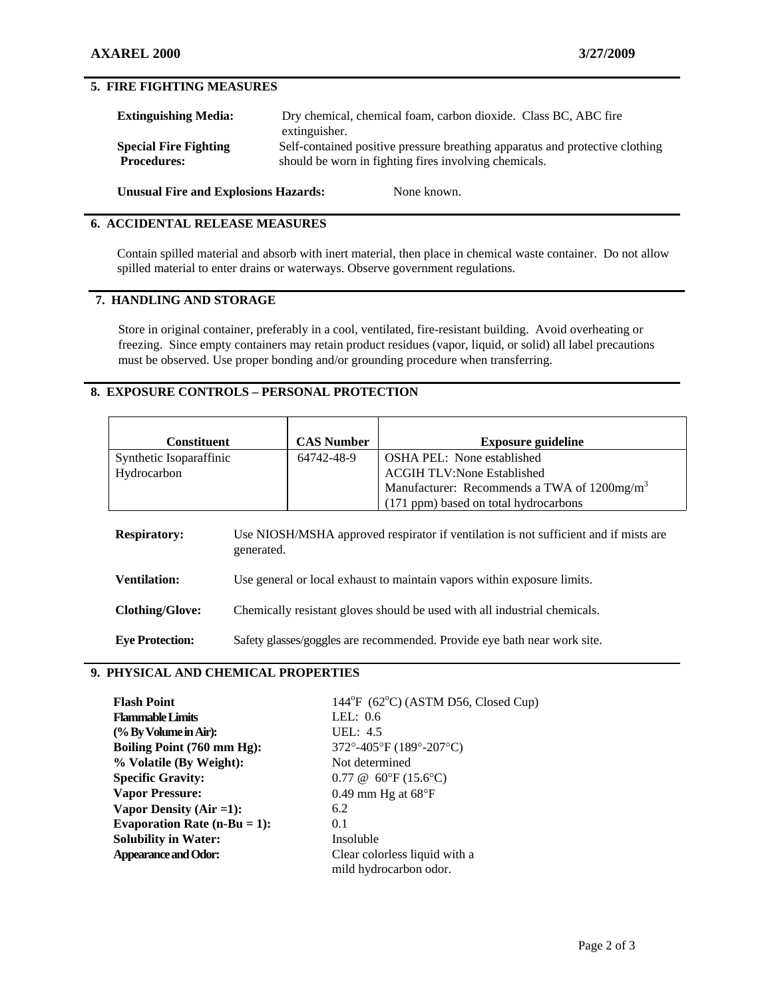## **5. FIRE FIGHTING MEASURES**

| <b>Extinguishing Media:</b>                        | Dry chemical, chemical foam, carbon dioxide. Class BC, ABC fire<br>extinguisher.                                                      |  |
|----------------------------------------------------|---------------------------------------------------------------------------------------------------------------------------------------|--|
| <b>Special Fire Fighting</b><br><b>Procedures:</b> | Self-contained positive pressure breathing apparatus and protective clothing<br>should be worn in fighting fires involving chemicals. |  |
| <b>Unusual Fire and Explosions Hazards:</b>        | None known.                                                                                                                           |  |

### **6. ACCIDENTAL RELEASE MEASURES**

Contain spilled material and absorb with inert material, then place in chemical waste container. Do not allow spilled material to enter drains or waterways. Observe government regulations.

## **7. HANDLING AND STORAGE**

Store in original container, preferably in a cool, ventilated, fire-resistant building. Avoid overheating or freezing. Since empty containers may retain product residues (vapor, liquid, or solid) all label precautions must be observed. Use proper bonding and/or grounding procedure when transferring.

## **8. EXPOSURE CONTROLS – PERSONAL PROTECTION**

| <b>Constituent</b>      |                                                                                                    | <b>CAS Number</b> | <b>Exposure guideline</b>                                                 |
|-------------------------|----------------------------------------------------------------------------------------------------|-------------------|---------------------------------------------------------------------------|
| Synthetic Isoparaffinic |                                                                                                    | 64742-48-9        | <b>OSHA PEL:</b> None established                                         |
| Hydrocarbon             |                                                                                                    |                   | <b>ACGIH TLV:None Established</b>                                         |
|                         |                                                                                                    |                   | Manufacturer: Recommends a TWA of 1200mg/m <sup>3</sup>                   |
|                         |                                                                                                    |                   | (171 ppm) based on total hydrocarbons                                     |
| <b>Respiratory:</b>     | Use NIOSH/MSHA approved respirator if ventilation is not sufficient and if mists are<br>generated. |                   |                                                                           |
| <b>Ventilation:</b>     | Use general or local exhaust to maintain vapors within exposure limits.                            |                   |                                                                           |
| <b>Clothing/Glove:</b>  |                                                                                                    |                   | Chemically resistant gloves should be used with all industrial chemicals. |
| <b>Eve Protection:</b>  |                                                                                                    |                   | Safety glasses/goggles are recommended. Provide eye bath near work site.  |

## **9. PHYSICAL AND CHEMICAL PROPERTIES**

| <b>Flash Point</b>              | $144^{\circ}F$ (62 $^{\circ}C$ ) (ASTM D56, Closed Cup) |
|---------------------------------|---------------------------------------------------------|
| <b>Flammable Limits</b>         | LEL: $0.6$                                              |
| (% By Volume in Air):           | UEL: $4.5$                                              |
| Boiling Point (760 mm Hg):      | 372°-405°F (189°-207°C)                                 |
| % Volatile (By Weight):         | Not determined                                          |
| <b>Specific Gravity:</b>        | $0.77 \& 60^{\circ}F(15.6^{\circ}C)$                    |
| <b>Vapor Pressure:</b>          | 0.49 mm Hg at $68^{\circ}F$                             |
| Vapor Density $(Air = 1)$ :     | 6.2                                                     |
| Evaporation Rate $(n-Bu = 1)$ : | 0.1                                                     |
| <b>Solubility in Water:</b>     | Insoluble                                               |
| <b>Appearance and Odor:</b>     | Clear colorless liquid with a                           |
|                                 | mild hydrocarbon odor.                                  |